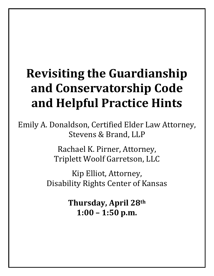# **Revisiting the Guardianship and Conservatorship Code and Helpful Practice Hints**

Emily A. Donaldson, Certified Elder Law Attorney, Stevens & Brand, LLP

> Rachael K. Pirner, Attorney, Triplett Woolf Garretson, LLC

Kip Elliot, Attorney, Disability Rights Center of Kansas

> **Thursday, April 28th 1:00 – 1:50 p.m.**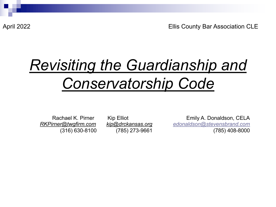April 2022 Ellis County Bar Association CLE

# *Revisiting the Guardianship and Conservatorship Code*

Rachael K. Pirner Kip Elliot Emily A. Donaldson, CELA *[RKPirner@twgfirm.com](mailto:RKPirner@twgfirm.com) [kip@drckansas.org](mailto:kip@drckansas.org) [edonaldson@stevensbrand.com](mailto:edonaldson@stevensbrand.com)* (316) 630-8100 (785) 273-9661 (785) 408-8000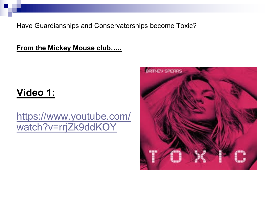Have Guardianships and Conservatorships become Toxic?

**From the Mickey Mouse club.....** 

#### Video 1:

#### https://www.youtube.com/ watch?v=rrjZk9ddKOY

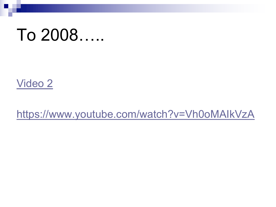# To 2008.....

Video 2

https://www.youtube.com/watch?v=Vh0oMAIkVzA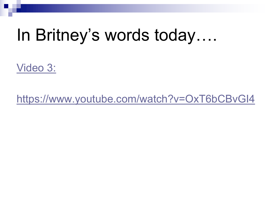# In Britney's words today....

Video 3:

https://www.youtube.com/watch?v=OxT6bCBvGI4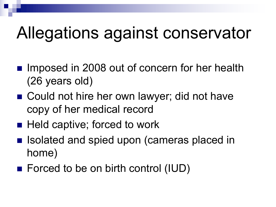# Allegations against conservator

- Imposed in 2008 out of concern for her health (26 years old)
- Could not hire her own lawyer; did not have copy of her medical record
- Held captive; forced to work
- **I** Isolated and spied upon (cameras placed in home)
- $\blacksquare$  Forced to be on birth control (IUD)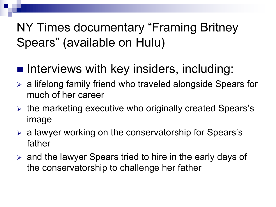# NY Times documentary "Framing Britney Spears" (available on Hulu)

- **n Interviews with key insiders, including:**
- $\triangleright$  a lifelong family friend who traveled alongside Spears for much of her career
- $\triangleright$  the marketing executive who originally created Spears's image
- $\triangleright$  a lawyer working on the conservatorship for Spears's father
- $\triangleright$  and the lawyer Spears tried to hire in the early days of the conservatorship to challenge her father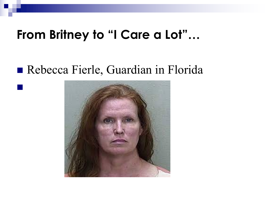## **From Britney to "I Care a Lot"…**

### Rebecca Fierle, Guardian in Florida

n

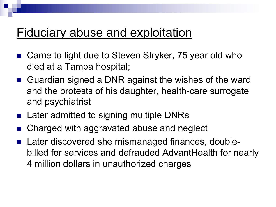### Fiduciary abuse and exploitation

- Came to light due to Steven Stryker, 75 year old who died at a Tampa hospital;
- Guardian signed a DNR against the wishes of the ward and the protests of his daughter, health-care surrogate and psychiatrist
- Later admitted to signing multiple DNRs
- Charged with aggravated abuse and neglect
- Later discovered she mismanaged finances, doublebilled for services and defrauded AdvantHealth for nearly 4 million dollars in unauthorized charges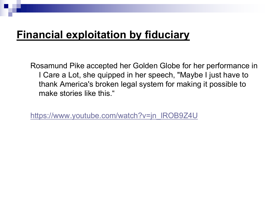#### **Financial exploitation by fiduciary**

Rosamund Pike accepted her Golden Globe for her performance in I Care a Lot, she quipped in her speech, "Maybe I just have to thank America's broken legal system for making it possible to make stories like this."

[https://www.youtube.com/watch?v=jn\\_lROB9Z4U](https://www.youtube.com/watch?v=jn_lROB9Z4U)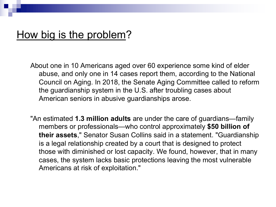#### How big is the problem?

About one in 10 Americans aged over 60 experience some kind of elder abuse, and only one in 14 cases report them, according to the National Council on Aging. In 2018, the Senate Aging Committee called to reform the guardianship system in the U.S. after troubling cases about American seniors in abusive guardianships arose.

"An estimated **1.3 million adults** are under the care of guardians—family members or professionals—who control approximately **\$50 billion of their assets**," Senator Susan Collins said in a statement. "Guardianship is a legal relationship created by a court that is designed to protect those with diminished or lost capacity. We found, however, that in many cases, the system lacks basic protections leaving the most vulnerable Americans at risk of exploitation."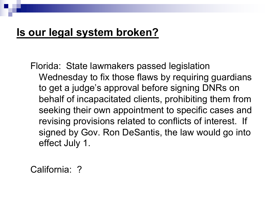#### **Is our legal system broken?**

Florida: State lawmakers passed legislation Wednesday to fix those flaws by requiring guardians to get a judge's approval before signing DNRs on behalf of incapacitated clients, prohibiting them from seeking their own appointment to specific cases and revising provisions related to conflicts of interest. If signed by Gov. Ron DeSantis, the law would go into effect July 1.

California: ?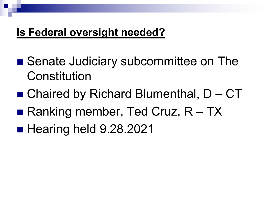#### **Is Federal oversight needed?**

- Senate Judiciary subcommittee on The Constitution
- $\blacksquare$  Chaired by Richard Blumenthal,  $D CT$
- **Ranking member, Ted Cruz,**  $R TX$
- Hearing held 9.28.2021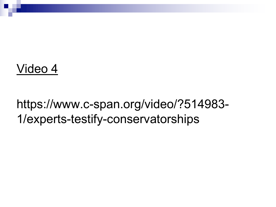## Video 4

## https://www.c-span.org/video/?514983- 1/experts-testify-conservatorships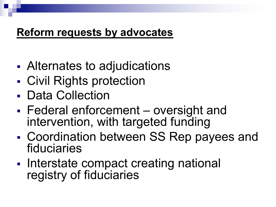#### **Reform requests by advocates**

- § Alternates to adjudications
- Civil Rights protection
- Data Collection
- § Federal enforcement oversight and intervention, with targeted funding
- § Coordination between SS Rep payees and fiduciaries
- Interstate compact creating national registry of fiduciaries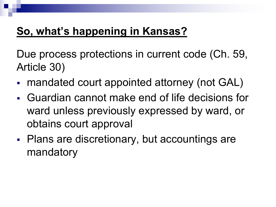### **So, what's happening in Kansas?**

Due process protections in current code (Ch. 59, Article 30)

- mandated court appointed attorney (not GAL)
- § Guardian cannot make end of life decisions for ward unless previously expressed by ward, or obtains court approval
- Plans are discretionary, but accountings are mandatory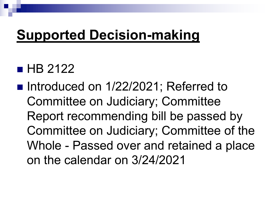# **Supported Decision-making**

## $\blacksquare$  HB 2122

■ Introduced on 1/22/2021; Referred to Committee on Judiciary; Committee Report recommending bill be passed by Committee on Judiciary; Committee of the Whole - Passed over and retained a place on the calendar on 3/24/2021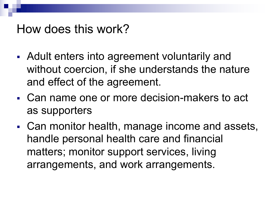### How does this work?

- Adult enters into agreement voluntarily and without coercion, if she understands the nature and effect of the agreement.
- § Can name one or more decision-makers to act as supporters
- Can monitor health, manage income and assets, handle personal health care and financial matters; monitor support services, living arrangements, and work arrangements.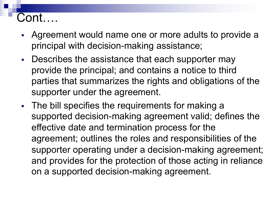### Cont….

- § Agreement would name one or more adults to provide a principal with decision-making assistance;
- Describes the assistance that each supporter may provide the principal; and contains a notice to third parties that summarizes the rights and obligations of the supporter under the agreement.
- The bill specifies the requirements for making a supported decision-making agreement valid; defines the effective date and termination process for the agreement; outlines the roles and responsibilities of the supporter operating under a decision-making agreement; and provides for the protection of those acting in reliance on a supported decision-making agreement.